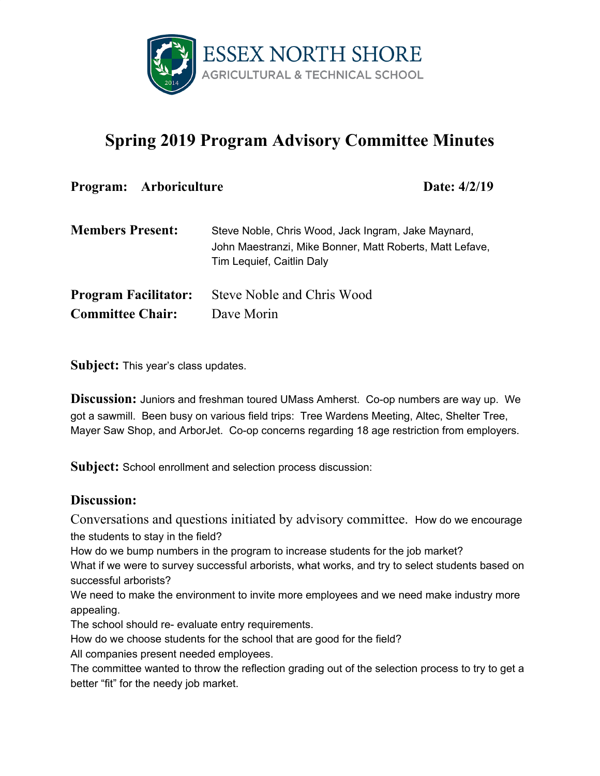

## **Spring 2019 Program Advisory Committee Minutes**

| Program: Arboriculture<br>Date: $4/2/19$ |                                                                                                                                              |
|------------------------------------------|----------------------------------------------------------------------------------------------------------------------------------------------|
| <b>Members Present:</b>                  | Steve Noble, Chris Wood, Jack Ingram, Jake Maynard,<br>John Maestranzi, Mike Bonner, Matt Roberts, Matt Lefave,<br>Tim Lequief, Caitlin Daly |
| <b>Program Facilitator:</b>              | Steve Noble and Chris Wood                                                                                                                   |
| <b>Committee Chair:</b>                  | Dave Morin                                                                                                                                   |

**Subject:** This year's class updates.

**Discussion:** Juniors and freshman toured UMass Amherst. Co-op numbers are way up. We got a sawmill. Been busy on various field trips: Tree Wardens Meeting, Altec, Shelter Tree, Mayer Saw Shop, and ArborJet. Co-op concerns regarding 18 age restriction from employers.

**Subject:** School enrollment and selection process discussion:

## **Discussion:**

Conversations and questions initiated by advisory committee. How do we encourage the students to stay in the field?

How do we bump numbers in the program to increase students for the job market?

What if we were to survey successful arborists, what works, and try to select students based on successful arborists?

We need to make the environment to invite more employees and we need make industry more appealing.

The school should re- evaluate entry requirements.

How do we choose students for the school that are good for the field?

All companies present needed employees.

The committee wanted to throw the reflection grading out of the selection process to try to get a better "fit" for the needy job market.